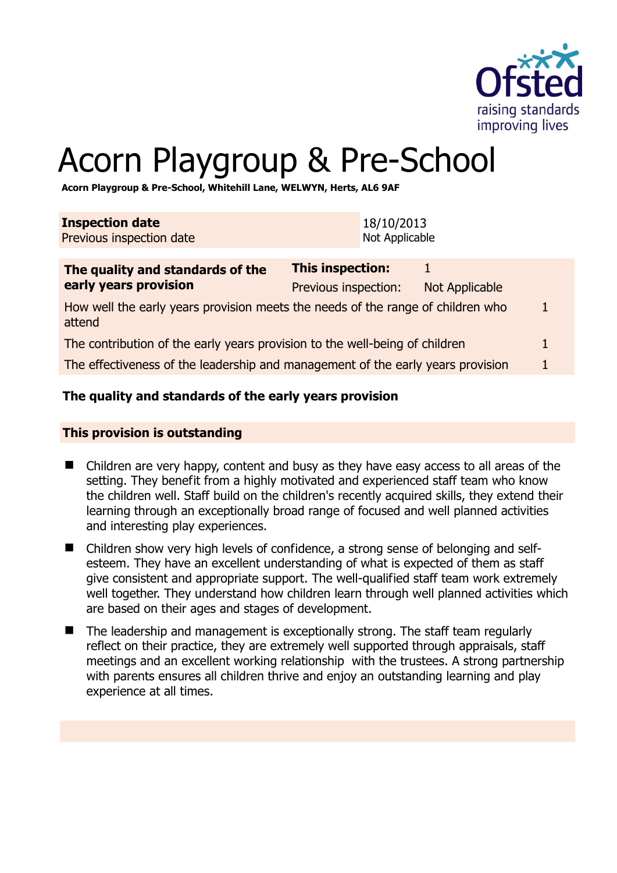

1

# Acorn Playgroup & Pre-School

**Acorn Playgroup & Pre-School, Whitehill Lane, WELWYN, Herts, AL6 9AF** 

| <b>Inspection date</b><br>Previous inspection date                                        |                                                 | 18/10/2013<br>Not Applicable |                       |              |
|-------------------------------------------------------------------------------------------|-------------------------------------------------|------------------------------|-----------------------|--------------|
| The quality and standards of the<br>early years provision                                 | <b>This inspection:</b><br>Previous inspection: |                              | <b>Not Applicable</b> |              |
| How well the early years provision meets the needs of the range of children who<br>attend |                                                 |                              |                       | $\mathbf{1}$ |
| The contribution of the early years provision to the well-being of children               |                                                 |                              |                       | $\mathbf{1}$ |

The effectiveness of the leadership and management of the early years provision 1

#### **The quality and standards of the early years provision**

#### **This provision is outstanding**

- Children are very happy, content and busy as they have easy access to all areas of the setting. They benefit from a highly motivated and experienced staff team who know the children well. Staff build on the children's recently acquired skills, they extend their learning through an exceptionally broad range of focused and well planned activities and interesting play experiences.
- Children show very high levels of confidence, a strong sense of belonging and selfesteem. They have an excellent understanding of what is expected of them as staff give consistent and appropriate support. The well-qualified staff team work extremely well together. They understand how children learn through well planned activities which are based on their ages and stages of development.
- The leadership and management is exceptionally strong. The staff team regularly reflect on their practice, they are extremely well supported through appraisals, staff meetings and an excellent working relationship with the trustees. A strong partnership with parents ensures all children thrive and enjoy an outstanding learning and play experience at all times.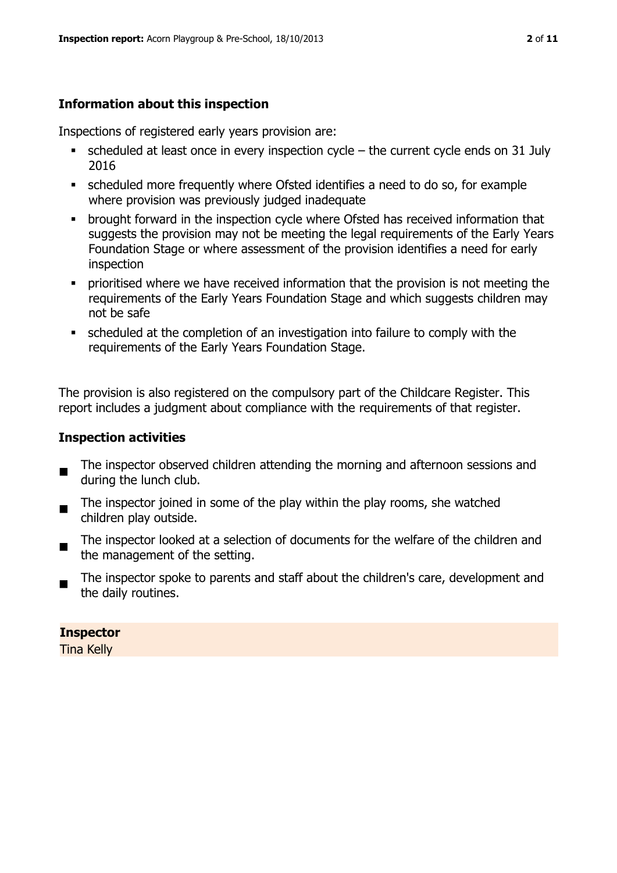# **Information about this inspection**

Inspections of registered early years provision are:

- $\blacksquare$  scheduled at least once in every inspection cycle the current cycle ends on 31 July 2016
- scheduled more frequently where Ofsted identifies a need to do so, for example where provision was previously judged inadequate
- **•** brought forward in the inspection cycle where Ofsted has received information that suggests the provision may not be meeting the legal requirements of the Early Years Foundation Stage or where assessment of the provision identifies a need for early inspection
- **•** prioritised where we have received information that the provision is not meeting the requirements of the Early Years Foundation Stage and which suggests children may not be safe
- scheduled at the completion of an investigation into failure to comply with the requirements of the Early Years Foundation Stage.

The provision is also registered on the compulsory part of the Childcare Register. This report includes a judgment about compliance with the requirements of that register.

# **Inspection activities**

- $\blacksquare$ The inspector observed children attending the morning and afternoon sessions and during the lunch club.
- $\blacksquare$ The inspector joined in some of the play within the play rooms, she watched children play outside.
- The inspector looked at a selection of documents for the welfare of the children and the management of the setting.
- The inspector spoke to parents and staff about the children's care, development and the daily routines.

#### **Inspector**

Tina Kelly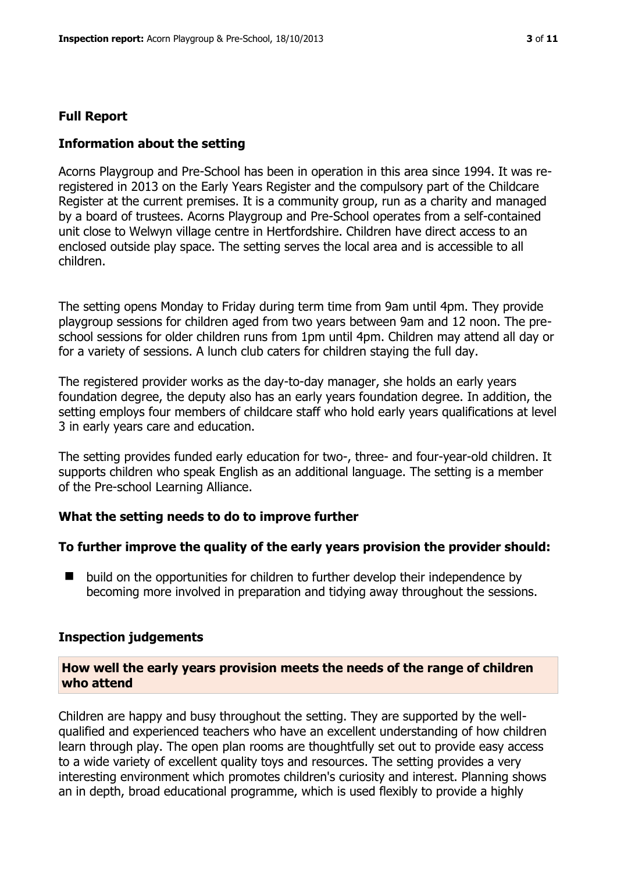#### **Full Report**

#### **Information about the setting**

Acorns Playgroup and Pre-School has been in operation in this area since 1994. It was reregistered in 2013 on the Early Years Register and the compulsory part of the Childcare Register at the current premises. It is a community group, run as a charity and managed by a board of trustees. Acorns Playgroup and Pre-School operates from a self-contained unit close to Welwyn village centre in Hertfordshire. Children have direct access to an enclosed outside play space. The setting serves the local area and is accessible to all children.

The setting opens Monday to Friday during term time from 9am until 4pm. They provide playgroup sessions for children aged from two years between 9am and 12 noon. The preschool sessions for older children runs from 1pm until 4pm. Children may attend all day or for a variety of sessions. A lunch club caters for children staying the full day.

The registered provider works as the day-to-day manager, she holds an early years foundation degree, the deputy also has an early years foundation degree. In addition, the setting employs four members of childcare staff who hold early years qualifications at level 3 in early years care and education.

The setting provides funded early education for two-, three- and four-year-old children. It supports children who speak English as an additional language. The setting is a member of the Pre-school Learning Alliance.

#### **What the setting needs to do to improve further**

#### **To further improve the quality of the early years provision the provider should:**

■ build on the opportunities for children to further develop their independence by becoming more involved in preparation and tidying away throughout the sessions.

#### **Inspection judgements**

#### **How well the early years provision meets the needs of the range of children who attend**

Children are happy and busy throughout the setting. They are supported by the wellqualified and experienced teachers who have an excellent understanding of how children learn through play. The open plan rooms are thoughtfully set out to provide easy access to a wide variety of excellent quality toys and resources. The setting provides a very interesting environment which promotes children's curiosity and interest. Planning shows an in depth, broad educational programme, which is used flexibly to provide a highly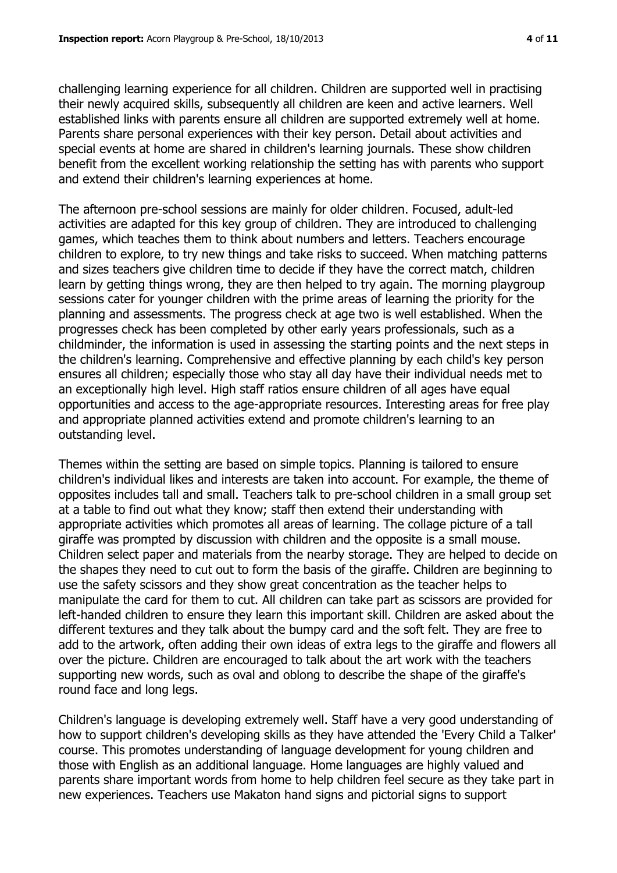challenging learning experience for all children. Children are supported well in practising their newly acquired skills, subsequently all children are keen and active learners. Well established links with parents ensure all children are supported extremely well at home. Parents share personal experiences with their key person. Detail about activities and special events at home are shared in children's learning journals. These show children benefit from the excellent working relationship the setting has with parents who support and extend their children's learning experiences at home.

The afternoon pre-school sessions are mainly for older children. Focused, adult-led activities are adapted for this key group of children. They are introduced to challenging games, which teaches them to think about numbers and letters. Teachers encourage children to explore, to try new things and take risks to succeed. When matching patterns and sizes teachers give children time to decide if they have the correct match, children learn by getting things wrong, they are then helped to try again. The morning playgroup sessions cater for younger children with the prime areas of learning the priority for the planning and assessments. The progress check at age two is well established. When the progresses check has been completed by other early years professionals, such as a childminder, the information is used in assessing the starting points and the next steps in the children's learning. Comprehensive and effective planning by each child's key person ensures all children; especially those who stay all day have their individual needs met to an exceptionally high level. High staff ratios ensure children of all ages have equal opportunities and access to the age-appropriate resources. Interesting areas for free play and appropriate planned activities extend and promote children's learning to an outstanding level.

Themes within the setting are based on simple topics. Planning is tailored to ensure children's individual likes and interests are taken into account. For example, the theme of opposites includes tall and small. Teachers talk to pre-school children in a small group set at a table to find out what they know; staff then extend their understanding with appropriate activities which promotes all areas of learning. The collage picture of a tall giraffe was prompted by discussion with children and the opposite is a small mouse. Children select paper and materials from the nearby storage. They are helped to decide on the shapes they need to cut out to form the basis of the giraffe. Children are beginning to use the safety scissors and they show great concentration as the teacher helps to manipulate the card for them to cut. All children can take part as scissors are provided for left-handed children to ensure they learn this important skill. Children are asked about the different textures and they talk about the bumpy card and the soft felt. They are free to add to the artwork, often adding their own ideas of extra legs to the giraffe and flowers all over the picture. Children are encouraged to talk about the art work with the teachers supporting new words, such as oval and oblong to describe the shape of the giraffe's round face and long legs.

Children's language is developing extremely well. Staff have a very good understanding of how to support children's developing skills as they have attended the 'Every Child a Talker' course. This promotes understanding of language development for young children and those with English as an additional language. Home languages are highly valued and parents share important words from home to help children feel secure as they take part in new experiences. Teachers use Makaton hand signs and pictorial signs to support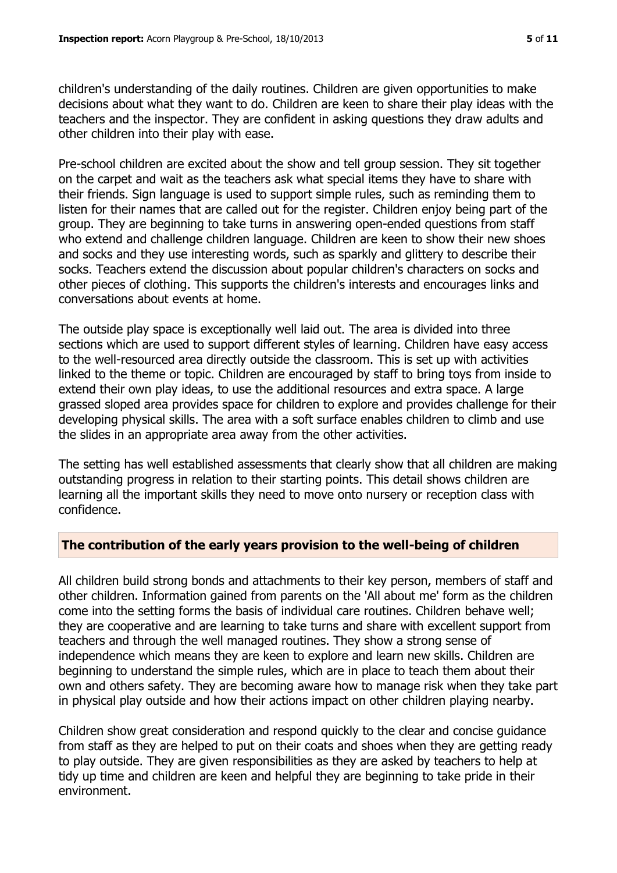children's understanding of the daily routines. Children are given opportunities to make decisions about what they want to do. Children are keen to share their play ideas with the teachers and the inspector. They are confident in asking questions they draw adults and other children into their play with ease.

Pre-school children are excited about the show and tell group session. They sit together on the carpet and wait as the teachers ask what special items they have to share with their friends. Sign language is used to support simple rules, such as reminding them to listen for their names that are called out for the register. Children enjoy being part of the group. They are beginning to take turns in answering open-ended questions from staff who extend and challenge children language. Children are keen to show their new shoes and socks and they use interesting words, such as sparkly and glittery to describe their socks. Teachers extend the discussion about popular children's characters on socks and other pieces of clothing. This supports the children's interests and encourages links and conversations about events at home.

The outside play space is exceptionally well laid out. The area is divided into three sections which are used to support different styles of learning. Children have easy access to the well-resourced area directly outside the classroom. This is set up with activities linked to the theme or topic. Children are encouraged by staff to bring toys from inside to extend their own play ideas, to use the additional resources and extra space. A large grassed sloped area provides space for children to explore and provides challenge for their developing physical skills. The area with a soft surface enables children to climb and use the slides in an appropriate area away from the other activities.

The setting has well established assessments that clearly show that all children are making outstanding progress in relation to their starting points. This detail shows children are learning all the important skills they need to move onto nursery or reception class with confidence.

# **The contribution of the early years provision to the well-being of children**

All children build strong bonds and attachments to their key person, members of staff and other children. Information gained from parents on the 'All about me' form as the children come into the setting forms the basis of individual care routines. Children behave well; they are cooperative and are learning to take turns and share with excellent support from teachers and through the well managed routines. They show a strong sense of independence which means they are keen to explore and learn new skills. Children are beginning to understand the simple rules, which are in place to teach them about their own and others safety. They are becoming aware how to manage risk when they take part in physical play outside and how their actions impact on other children playing nearby.

Children show great consideration and respond quickly to the clear and concise guidance from staff as they are helped to put on their coats and shoes when they are getting ready to play outside. They are given responsibilities as they are asked by teachers to help at tidy up time and children are keen and helpful they are beginning to take pride in their environment.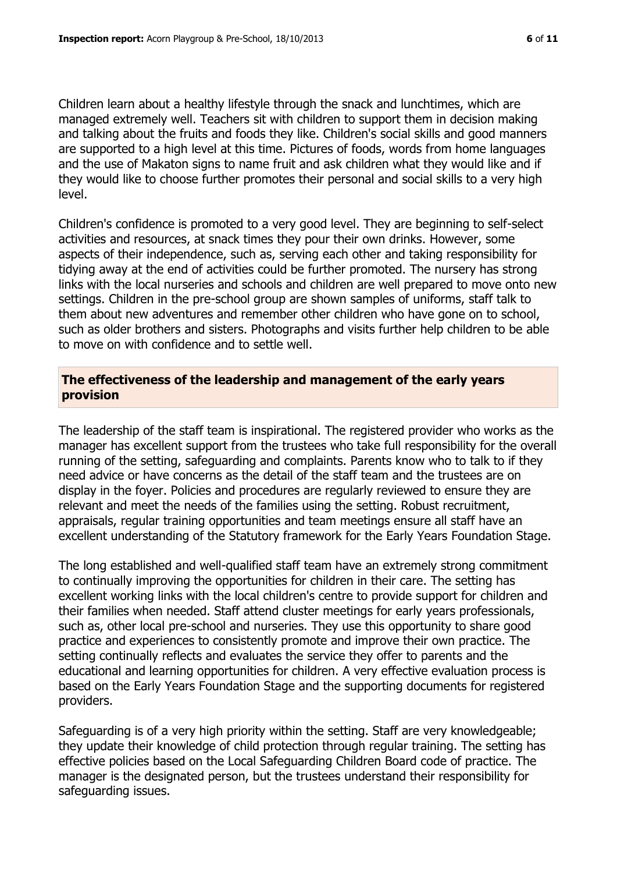Children learn about a healthy lifestyle through the snack and lunchtimes, which are managed extremely well. Teachers sit with children to support them in decision making and talking about the fruits and foods they like. Children's social skills and good manners are supported to a high level at this time. Pictures of foods, words from home languages and the use of Makaton signs to name fruit and ask children what they would like and if they would like to choose further promotes their personal and social skills to a very high level.

Children's confidence is promoted to a very good level. They are beginning to self-select activities and resources, at snack times they pour their own drinks. However, some aspects of their independence, such as, serving each other and taking responsibility for tidying away at the end of activities could be further promoted. The nursery has strong links with the local nurseries and schools and children are well prepared to move onto new settings. Children in the pre-school group are shown samples of uniforms, staff talk to them about new adventures and remember other children who have gone on to school, such as older brothers and sisters. Photographs and visits further help children to be able to move on with confidence and to settle well.

#### **The effectiveness of the leadership and management of the early years provision**

The leadership of the staff team is inspirational. The registered provider who works as the manager has excellent support from the trustees who take full responsibility for the overall running of the setting, safeguarding and complaints. Parents know who to talk to if they need advice or have concerns as the detail of the staff team and the trustees are on display in the foyer. Policies and procedures are regularly reviewed to ensure they are relevant and meet the needs of the families using the setting. Robust recruitment, appraisals, regular training opportunities and team meetings ensure all staff have an excellent understanding of the Statutory framework for the Early Years Foundation Stage.

The long established and well-qualified staff team have an extremely strong commitment to continually improving the opportunities for children in their care. The setting has excellent working links with the local children's centre to provide support for children and their families when needed. Staff attend cluster meetings for early years professionals, such as, other local pre-school and nurseries. They use this opportunity to share good practice and experiences to consistently promote and improve their own practice. The setting continually reflects and evaluates the service they offer to parents and the educational and learning opportunities for children. A very effective evaluation process is based on the Early Years Foundation Stage and the supporting documents for registered providers.

Safeguarding is of a very high priority within the setting. Staff are very knowledgeable; they update their knowledge of child protection through regular training. The setting has effective policies based on the Local Safeguarding Children Board code of practice. The manager is the designated person, but the trustees understand their responsibility for safeguarding issues.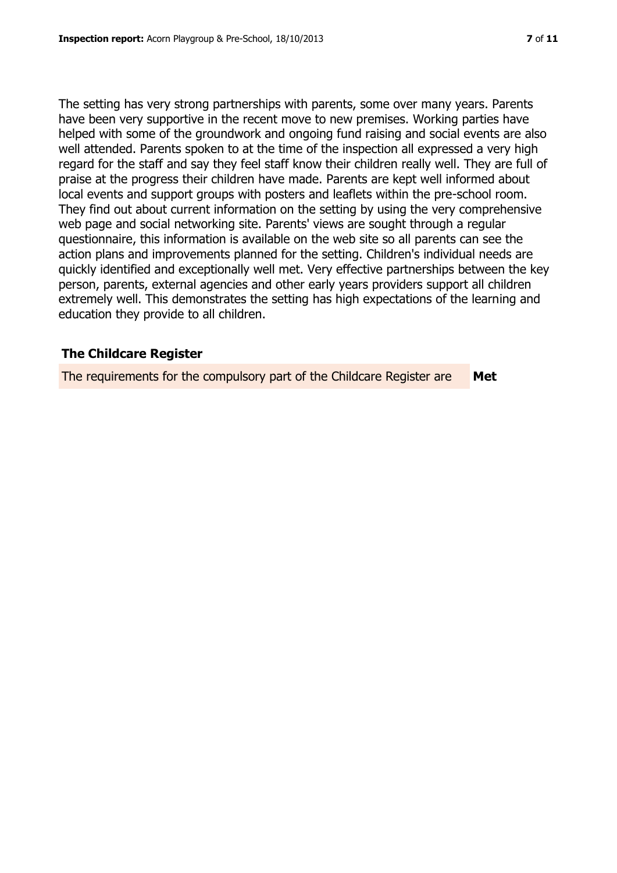The setting has very strong partnerships with parents, some over many years. Parents have been very supportive in the recent move to new premises. Working parties have helped with some of the groundwork and ongoing fund raising and social events are also well attended. Parents spoken to at the time of the inspection all expressed a very high regard for the staff and say they feel staff know their children really well. They are full of praise at the progress their children have made. Parents are kept well informed about local events and support groups with posters and leaflets within the pre-school room. They find out about current information on the setting by using the very comprehensive web page and social networking site. Parents' views are sought through a regular questionnaire, this information is available on the web site so all parents can see the action plans and improvements planned for the setting. Children's individual needs are quickly identified and exceptionally well met. Very effective partnerships between the key person, parents, external agencies and other early years providers support all children extremely well. This demonstrates the setting has high expectations of the learning and education they provide to all children.

# **The Childcare Register**

The requirements for the compulsory part of the Childcare Register are **Met**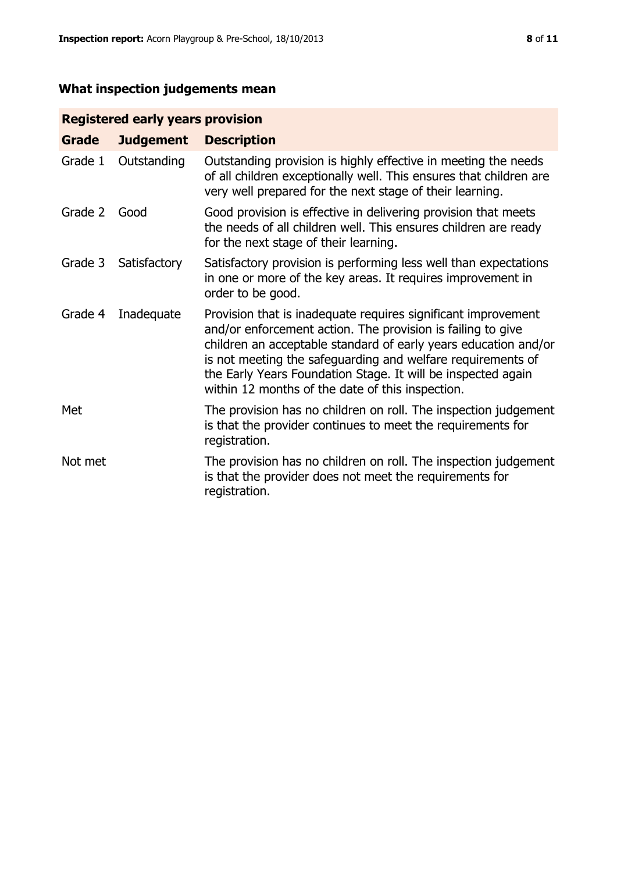# **What inspection judgements mean**

# **Registered early years provision**

| Grade   | <b>Judgement</b> | <b>Description</b>                                                                                                                                                                                                                                                                                                                                                                 |
|---------|------------------|------------------------------------------------------------------------------------------------------------------------------------------------------------------------------------------------------------------------------------------------------------------------------------------------------------------------------------------------------------------------------------|
| Grade 1 | Outstanding      | Outstanding provision is highly effective in meeting the needs<br>of all children exceptionally well. This ensures that children are<br>very well prepared for the next stage of their learning.                                                                                                                                                                                   |
| Grade 2 | Good             | Good provision is effective in delivering provision that meets<br>the needs of all children well. This ensures children are ready<br>for the next stage of their learning.                                                                                                                                                                                                         |
| Grade 3 | Satisfactory     | Satisfactory provision is performing less well than expectations<br>in one or more of the key areas. It requires improvement in<br>order to be good.                                                                                                                                                                                                                               |
| Grade 4 | Inadequate       | Provision that is inadequate requires significant improvement<br>and/or enforcement action. The provision is failing to give<br>children an acceptable standard of early years education and/or<br>is not meeting the safeguarding and welfare requirements of<br>the Early Years Foundation Stage. It will be inspected again<br>within 12 months of the date of this inspection. |
| Met     |                  | The provision has no children on roll. The inspection judgement<br>is that the provider continues to meet the requirements for<br>registration.                                                                                                                                                                                                                                    |
| Not met |                  | The provision has no children on roll. The inspection judgement<br>is that the provider does not meet the requirements for<br>registration.                                                                                                                                                                                                                                        |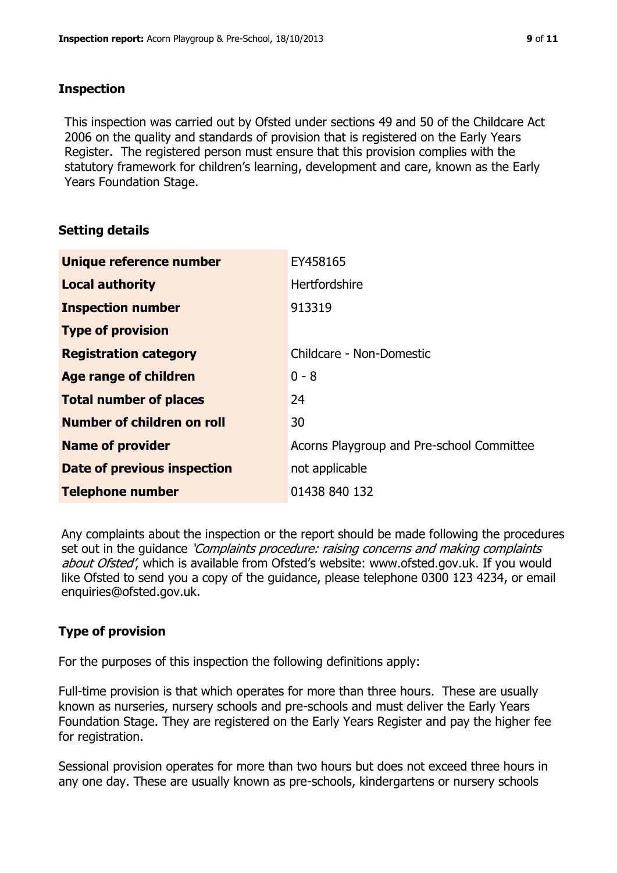#### **Inspection**

This inspection was carried out by Ofsted under sections 49 and 50 of the Childcare Act 2006 on the quality and standards of provision that is registered on the Early Years Register. The registered person must ensure that this provision complies with the statutory framework for children's learning, development and care, known as the Early Years Foundation Stage.

# **Setting details**

| Unique reference number       | EY458165                                  |
|-------------------------------|-------------------------------------------|
| <b>Local authority</b>        | <b>Hertfordshire</b>                      |
| <b>Inspection number</b>      | 913319                                    |
| <b>Type of provision</b>      |                                           |
| <b>Registration category</b>  | Childcare - Non-Domestic                  |
| <b>Age range of children</b>  | $0 - 8$                                   |
| <b>Total number of places</b> | 24                                        |
| Number of children on roll    | 30                                        |
| <b>Name of provider</b>       | Acorns Playgroup and Pre-school Committee |
| Date of previous inspection   | not applicable                            |
| <b>Telephone number</b>       | 01438 840 132                             |

Any complaints about the inspection or the report should be made following the procedures set out in the guidance *'Complaints procedure: raising concerns and making complaints* about Ofsted', which is available from Ofsted's website: www.ofsted.gov.uk. If you would like Ofsted to send you a copy of the guidance, please telephone 0300 123 4234, or email enquiries@ofsted.gov.uk.

# **Type of provision**

For the purposes of this inspection the following definitions apply:

Full-time provision is that which operates for more than three hours. These are usually known as nurseries, nursery schools and pre-schools and must deliver the Early Years Foundation Stage. They are registered on the Early Years Register and pay the higher fee for registration.

Sessional provision operates for more than two hours but does not exceed three hours in any one day. These are usually known as pre-schools, kindergartens or nursery schools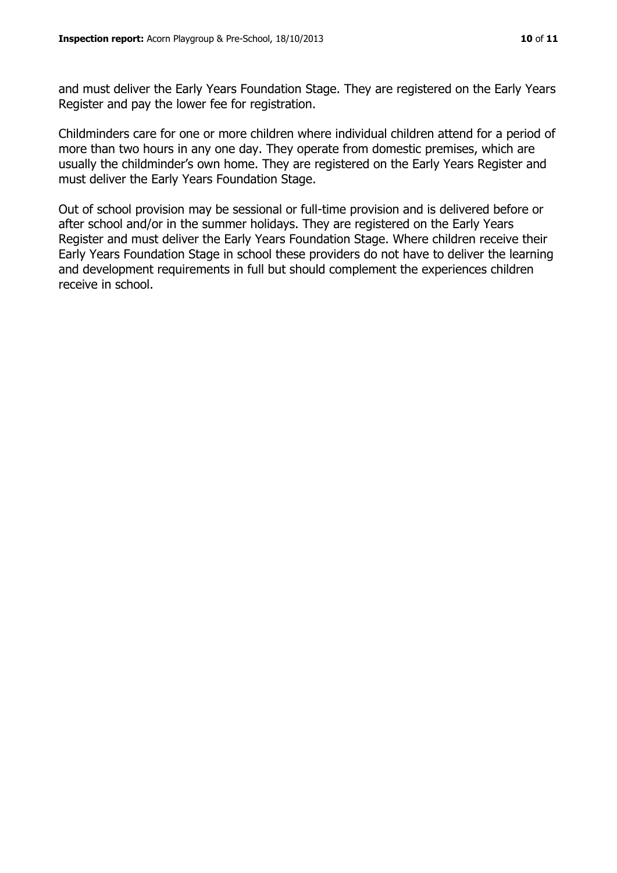and must deliver the Early Years Foundation Stage. They are registered on the Early Years Register and pay the lower fee for registration.

Childminders care for one or more children where individual children attend for a period of more than two hours in any one day. They operate from domestic premises, which are usually the childminder's own home. They are registered on the Early Years Register and must deliver the Early Years Foundation Stage.

Out of school provision may be sessional or full-time provision and is delivered before or after school and/or in the summer holidays. They are registered on the Early Years Register and must deliver the Early Years Foundation Stage. Where children receive their Early Years Foundation Stage in school these providers do not have to deliver the learning and development requirements in full but should complement the experiences children receive in school.